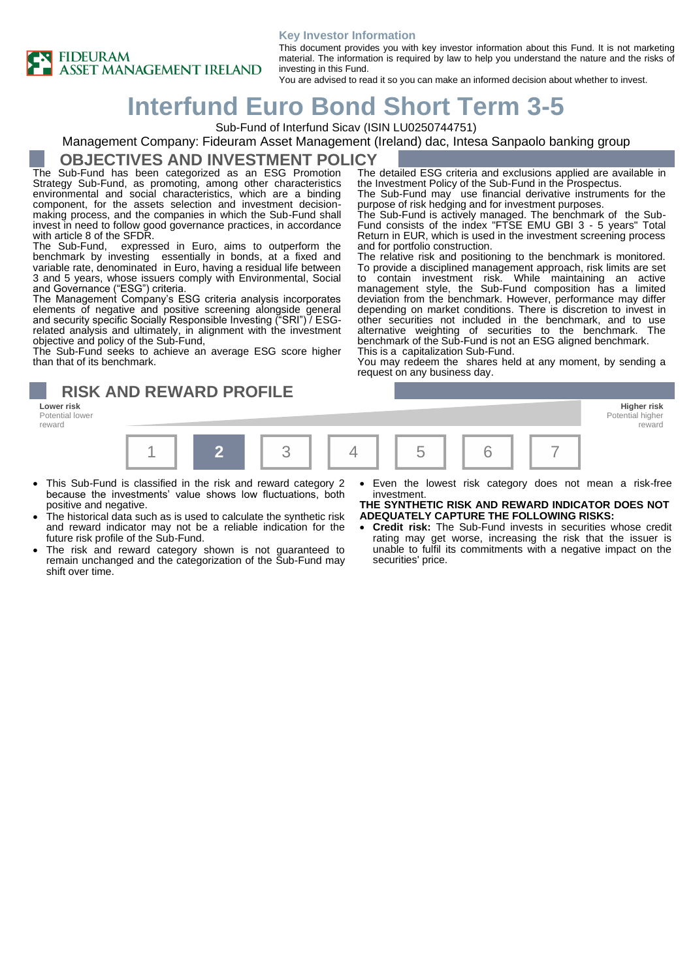



This document provides you with key investor information about this Fund. It is not marketing material. The information is required by law to help you understand the nature and the risks of investing in this Fund.

You are advised to read it so you can make an informed decision about whether to invest.

# **Interfund Euro Bond Short Term 3-5**

Sub-Fund of Interfund Sicav (ISIN LU0250744751)

### Management Company: Fideuram Asset Management (Ireland) dac, Intesa Sanpaolo banking group

### **OBJECTIVES AND INVESTMENT POLICY**

The Sub-Fund has been categorized as an ESG Promotion Strategy Sub-Fund, as promoting, among other characteristics environmental and social characteristics, which are a binding component, for the assets selection and investment decisionmaking process, and the companies in which the Sub-Fund shall invest in need to follow good governance practices, in accordance with article 8 of the SFDR.

The Sub-Fund, expressed in Euro, aims to outperform the benchmark by investing essentially in bonds, at a fixed and variable rate, denominated in Euro, having a residual life between 3 and 5 years, whose issuers comply with Environmental, Social and Governance ("ESG") criteria.

The Management Company's ESG criteria analysis incorporates elements of negative and positive screening alongside general and security specific Socially Responsible Investing ("SRI") / ESGrelated analysis and ultimately, in alignment with the investment objective and policy of the Sub-Fund,

The Sub-Fund seeks to achieve an average ESG score higher than that of its benchmark.

**RISK AND REWARD PROFILE**

reward

The detailed ESG criteria and exclusions applied are available in the Investment Policy of the Sub-Fund in the Prospectus. The Sub-Fund may use financial derivative instruments for the purpose of risk hedging and for investment purposes.

The Sub-Fund is actively managed. The benchmark of the Sub-Fund consists of the index "FTSE EMU GBI 3 - 5 years" Total Return in EUR, which is used in the investment screening process and for portfolio construction.

The relative risk and positioning to the benchmark is monitored. To provide a disciplined management approach, risk limits are set to contain investment risk. While maintaining an active management style, the Sub-Fund composition has a limited deviation from the benchmark. However, performance may differ depending on market conditions. There is discretion to invest in other securities not included in the benchmark, and to use alternative weighting of securities to the benchmark. The benchmark of the Sub-Fund is not an ESG aligned benchmark. This is a capitalization Sub-Fund.

You may redeem the shares held at any moment, by sending a request on any business day.



- This Sub-Fund is classified in the risk and reward category 2 because the investments' value shows low fluctuations, both positive and negative.
- The historical data such as is used to calculate the synthetic risk and reward indicator may not be a reliable indication for the future risk profile of the Sub-Fund.
- The risk and reward category shown is not guaranteed to remain unchanged and the categorization of the Sub-Fund may shift over time.
- Even the lowest risk category does not mean a risk-free investment.

**THE SYNTHETIC RISK AND REWARD INDICATOR DOES NOT ADEQUATELY CAPTURE THE FOLLOWING RISKS:**

• **Credit risk:** The Sub-Fund invests in securities whose credit rating may get worse, increasing the risk that the issuer is unable to fulfil its commitments with a negative impact on the securities' price.